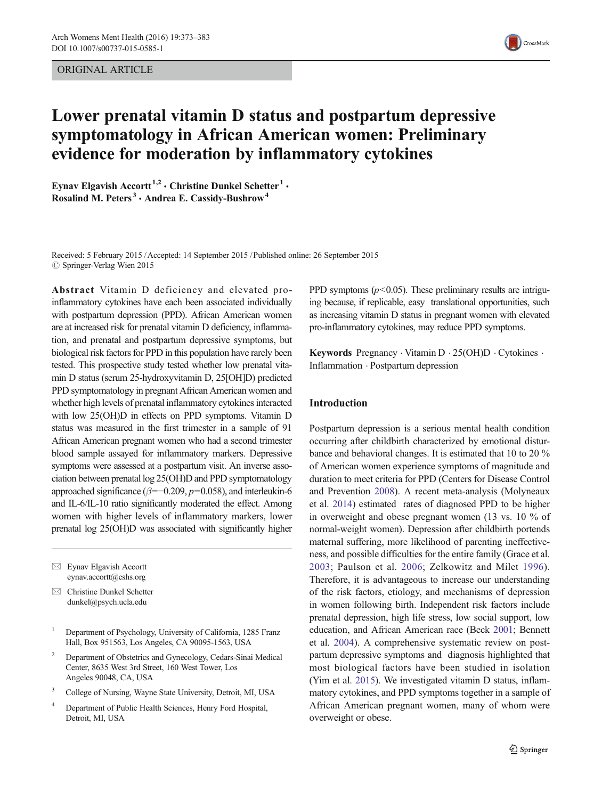ORIGINAL ARTICLE



# Lower prenatal vitamin D status and postpartum depressive symptomatology in African American women: Preliminary evidence for moderation by inflammatory cytokines

Eynav Elgavish Accortt<sup>1,2</sup>  $\cdot$  Christine Dunkel Schetter<sup>1</sup> $\cdot$ Rosalind M. Peters<sup>3</sup> · Andrea E. Cassidy-Bushrow<sup>4</sup>

Received: 5 February 2015 /Accepted: 14 September 2015 /Published online: 26 September 2015  $\circ$  Springer-Verlag Wien 2015

Abstract Vitamin D deficiency and elevated proinflammatory cytokines have each been associated individually with postpartum depression (PPD). African American women are at increased risk for prenatal vitamin D deficiency, inflammation, and prenatal and postpartum depressive symptoms, but biological risk factors for PPD in this population have rarely been tested. This prospective study tested whether low prenatal vitamin D status (serum 25-hydroxyvitamin D, 25[OH]D) predicted PPD symptomatology in pregnant African American women and whether high levels of prenatal inflammatory cytokines interacted with low 25(OH)D in effects on PPD symptoms. Vitamin D status was measured in the first trimester in a sample of 91 African American pregnant women who had a second trimester blood sample assayed for inflammatory markers. Depressive symptoms were assessed at a postpartum visit. An inverse association between prenatal log 25(OH)D and PPD symptomatology approached significance ( $\beta$ =−0.209,  $p$ =0.058), and interleukin-6 and IL-6/IL-10 ratio significantly moderated the effect. Among women with higher levels of inflammatory markers, lower prenatal log 25(OH)D was associated with significantly higher

- $\boxtimes$  Eynav Elgavish Accortt eynav.accortt@cshs.org
- $\boxtimes$  Christine Dunkel Schetter dunkel@psych.ucla.edu
- <sup>1</sup> Department of Psychology, University of California, 1285 Franz Hall, Box 951563, Los Angeles, CA 90095-1563, USA
- <sup>2</sup> Department of Obstetrics and Gynecology, Cedars-Sinai Medical Center, 8635 West 3rd Street, 160 West Tower, Los Angeles 90048, CA, USA
- <sup>3</sup> College of Nursing, Wayne State University, Detroit, MI, USA
- <sup>4</sup> Department of Public Health Sciences, Henry Ford Hospital, Detroit, MI, USA

PPD symptoms ( $p$ <0.05). These preliminary results are intriguing because, if replicable, easy translational opportunities, such as increasing vitamin D status in pregnant women with elevated pro-inflammatory cytokines, may reduce PPD symptoms.

Keywords Pregnancy . Vitamin D . 25(OH)D . Cytokines . Inflammation . Postpartum depression

# Introduction

Postpartum depression is a serious mental health condition occurring after childbirth characterized by emotional disturbance and behavioral changes. It is estimated that 10 to 20 % of American women experience symptoms of magnitude and duration to meet criteria for PPD (Centers for Disease Control and Prevention [2008](#page-8-0)). A recent meta-analysis (Molyneaux et al. [2014\)](#page-9-0) estimated rates of diagnosed PPD to be higher in overweight and obese pregnant women (13 vs. 10 % of normal-weight women). Depression after childbirth portends maternal suffering, more likelihood of parenting ineffectiveness, and possible difficulties for the entire family (Grace et al. [2003](#page-8-0); Paulson et al. [2006](#page-9-0); Zelkowitz and Milet [1996](#page-10-0)). Therefore, it is advantageous to increase our understanding of the risk factors, etiology, and mechanisms of depression in women following birth. Independent risk factors include prenatal depression, high life stress, low social support, low education, and African American race (Beck [2001;](#page-8-0) Bennett et al. [2004](#page-8-0)). A comprehensive systematic review on postpartum depressive symptoms and diagnosis highlighted that most biological factors have been studied in isolation (Yim et al. [2015](#page-10-0)). We investigated vitamin D status, inflammatory cytokines, and PPD symptoms together in a sample of African American pregnant women, many of whom were overweight or obese.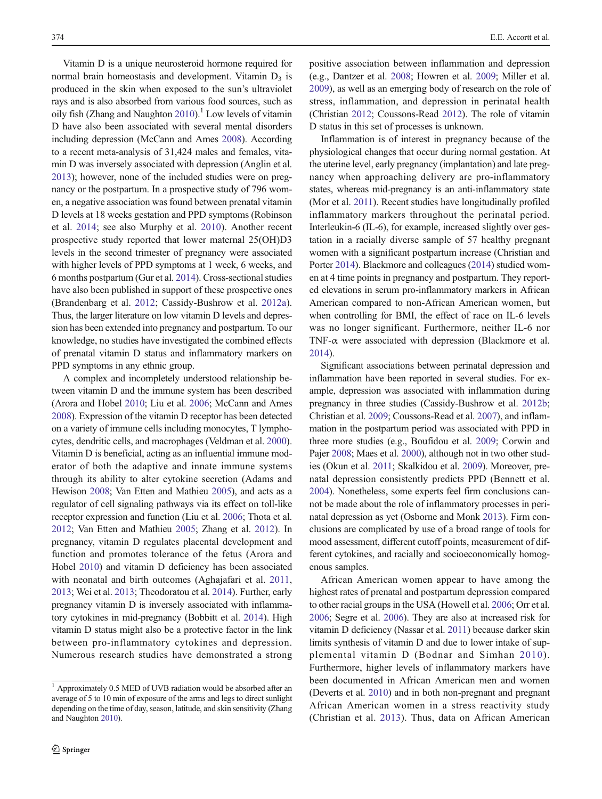Vitamin D is a unique neurosteroid hormone required for normal brain homeostasis and development. Vitamin  $D_3$  is produced in the skin when exposed to the sun's ultraviolet rays and is also absorbed from various food sources, such as oily fish (Zhang and Naughton  $2010$ ).<sup>1</sup> Low levels of vitamin D have also been associated with several mental disorders including depression (McCann and Ames [2008](#page-9-0)). According to a recent meta-analysis of 31,424 males and females, vitamin D was inversely associated with depression (Anglin et al. [2013\)](#page-8-0); however, none of the included studies were on pregnancy or the postpartum. In a prospective study of 796 women, a negative association was found between prenatal vitamin D levels at 18 weeks gestation and PPD symptoms (Robinson et al. [2014;](#page-9-0) see also Murphy et al. [2010\)](#page-9-0). Another recent prospective study reported that lower maternal 25(OH)D3 levels in the second trimester of pregnancy were associated with higher levels of PPD symptoms at 1 week, 6 weeks, and 6 months postpartum (Gur et al. [2014\)](#page-9-0). Cross-sectional studies have also been published in support of these prospective ones (Brandenbarg et al. [2012;](#page-8-0) Cassidy-Bushrow et al. [2012a](#page-8-0)). Thus, the larger literature on low vitamin D levels and depression has been extended into pregnancy and postpartum. To our knowledge, no studies have investigated the combined effects of prenatal vitamin D status and inflammatory markers on PPD symptoms in any ethnic group.

A complex and incompletely understood relationship between vitamin D and the immune system has been described (Arora and Hobel [2010](#page-8-0); Liu et al. [2006;](#page-9-0) McCann and Ames [2008\)](#page-9-0). Expression of the vitamin D receptor has been detected on a variety of immune cells including monocytes, T lymphocytes, dendritic cells, and macrophages (Veldman et al. [2000\)](#page-10-0). Vitamin D is beneficial, acting as an influential immune moderator of both the adaptive and innate immune systems through its ability to alter cytokine secretion (Adams and Hewison [2008](#page-7-0); Van Etten and Mathieu [2005](#page-10-0)), and acts as a regulator of cell signaling pathways via its effect on toll-like receptor expression and function (Liu et al. [2006](#page-9-0); Thota et al. [2012;](#page-9-0) Van Etten and Mathieu [2005](#page-10-0); Zhang et al. [2012\)](#page-10-0). In pregnancy, vitamin D regulates placental development and function and promotes tolerance of the fetus (Arora and Hobel [2010](#page-8-0)) and vitamin D deficiency has been associated with neonatal and birth outcomes (Aghajafari et al. [2011,](#page-7-0) [2013;](#page-7-0) Wei et al. [2013](#page-10-0); Theodoratou et al. [2014\)](#page-9-0). Further, early pregnancy vitamin D is inversely associated with inflammatory cytokines in mid-pregnancy (Bobbitt et al. [2014\)](#page-8-0). High vitamin D status might also be a protective factor in the link between pro-inflammatory cytokines and depression. Numerous research studies have demonstrated a strong positive association between inflammation and depression (e.g., Dantzer et al. [2008](#page-8-0); Howren et al. [2009;](#page-9-0) Miller et al. [2009\)](#page-9-0), as well as an emerging body of research on the role of stress, inflammation, and depression in perinatal health (Christian [2012;](#page-8-0) Coussons-Read [2012](#page-8-0)). The role of vitamin D status in this set of processes is unknown.

Inflammation is of interest in pregnancy because of the physiological changes that occur during normal gestation. At the uterine level, early pregnancy (implantation) and late pregnancy when approaching delivery are pro-inflammatory states, whereas mid-pregnancy is an anti-inflammatory state (Mor et al. [2011](#page-9-0)). Recent studies have longitudinally profiled inflammatory markers throughout the perinatal period. Interleukin-6 (IL-6), for example, increased slightly over gestation in a racially diverse sample of 57 healthy pregnant women with a significant postpartum increase (Christian and Porter [2014](#page-8-0)). Blackmore and colleagues [\(2014\)](#page-8-0) studied women at 4 time points in pregnancy and postpartum. They reported elevations in serum pro-inflammatory markers in African American compared to non-African American women, but when controlling for BMI, the effect of race on IL-6 levels was no longer significant. Furthermore, neither IL-6 nor TNF- $\alpha$  were associated with depression (Blackmore et al. [2014\)](#page-8-0).

Significant associations between perinatal depression and inflammation have been reported in several studies. For example, depression was associated with inflammation during pregnancy in three studies (Cassidy-Bushrow et al. [2012b;](#page-8-0) Christian et al. [2009;](#page-8-0) Coussons-Read et al. [2007\)](#page-8-0), and inflammation in the postpartum period was associated with PPD in three more studies (e.g., Boufidou et al. [2009;](#page-8-0) Corwin and Pajer [2008;](#page-8-0) Maes et al. [2000\)](#page-9-0), although not in two other studies (Okun et al. [2011](#page-9-0); Skalkidou et al. [2009](#page-9-0)). Moreover, prenatal depression consistently predicts PPD (Bennett et al. [2004\)](#page-8-0). Nonetheless, some experts feel firm conclusions cannot be made about the role of inflammatory processes in perinatal depression as yet (Osborne and Monk [2013](#page-9-0)). Firm conclusions are complicated by use of a broad range of tools for mood assessment, different cutoff points, measurement of different cytokines, and racially and socioeconomically homogenous samples.

African American women appear to have among the highest rates of prenatal and postpartum depression compared to other racial groups in the USA (Howell et al. [2006](#page-9-0); Orr et al. [2006;](#page-9-0) Segre et al. [2006](#page-9-0)). They are also at increased risk for vitamin D deficiency (Nassar et al. [2011](#page-9-0)) because darker skin limits synthesis of vitamin D and due to lower intake of supplemental vitamin D (Bodnar and Simhan [2010\)](#page-8-0). Furthermore, higher levels of inflammatory markers have been documented in African American men and women (Deverts et al. [2010](#page-8-0)) and in both non-pregnant and pregnant African American women in a stress reactivity study (Christian et al. [2013\)](#page-8-0). Thus, data on African American

 $1$  Approximately 0.5 MED of UVB radiation would be absorbed after an average of 5 to 10 min of exposure of the arms and legs to direct sunlight depending on the time of day, season, latitude, and skin sensitivity (Zhang and Naughton [2010\)](#page-10-0).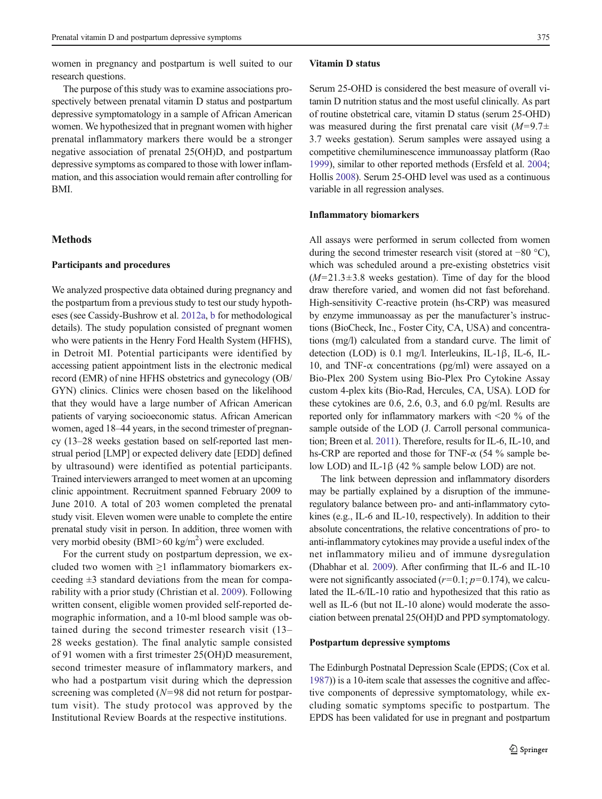women in pregnancy and postpartum is well suited to our research questions.

The purpose of this study was to examine associations prospectively between prenatal vitamin D status and postpartum depressive symptomatology in a sample of African American women. We hypothesized that in pregnant women with higher prenatal inflammatory markers there would be a stronger negative association of prenatal 25(OH)D, and postpartum depressive symptoms as compared to those with lower inflammation, and this association would remain after controlling for BMI.

# **Methods**

#### Participants and procedures

We analyzed prospective data obtained during pregnancy and the postpartum from a previous study to test our study hypotheses (see Cassidy-Bushrow et al. [2012a](#page-8-0), [b](#page-8-0) for methodological details). The study population consisted of pregnant women who were patients in the Henry Ford Health System (HFHS), in Detroit MI. Potential participants were identified by accessing patient appointment lists in the electronic medical record (EMR) of nine HFHS obstetrics and gynecology (OB/ GYN) clinics. Clinics were chosen based on the likelihood that they would have a large number of African American patients of varying socioeconomic status. African American women, aged 18–44 years, in the second trimester of pregnancy (13–28 weeks gestation based on self-reported last menstrual period [LMP] or expected delivery date [EDD] defined by ultrasound) were identified as potential participants. Trained interviewers arranged to meet women at an upcoming clinic appointment. Recruitment spanned February 2009 to June 2010. A total of 203 women completed the prenatal study visit. Eleven women were unable to complete the entire prenatal study visit in person. In addition, three women with very morbid obesity (BMI>60 kg/m<sup>2</sup>) were excluded.

For the current study on postpartum depression, we excluded two women with  $\geq 1$  inflammatory biomarkers exceeding  $\pm 3$  standard deviations from the mean for comparability with a prior study (Christian et al. [2009](#page-8-0)). Following written consent, eligible women provided self-reported demographic information, and a 10-ml blood sample was obtained during the second trimester research visit (13– 28 weeks gestation). The final analytic sample consisted of 91 women with a first trimester 25(OH)D measurement, second trimester measure of inflammatory markers, and who had a postpartum visit during which the depression screening was completed ( $N=98$  did not return for postpartum visit). The study protocol was approved by the Institutional Review Boards at the respective institutions.

#### Vitamin D status

Serum 25-OHD is considered the best measure of overall vitamin D nutrition status and the most useful clinically. As part of routine obstetrical care, vitamin D status (serum 25-OHD) was measured during the first prenatal care visit  $(M=9.7\pm$ 3.7 weeks gestation). Serum samples were assayed using a competitive chemiluminescence immunoassay platform (Rao [1999\)](#page-9-0), similar to other reported methods (Ersfeld et al. [2004;](#page-8-0) Hollis [2008\)](#page-9-0). Serum 25-OHD level was used as a continuous variable in all regression analyses.

#### Inflammatory biomarkers

All assays were performed in serum collected from women during the second trimester research visit (stored at −80 °C), which was scheduled around a pre-existing obstetrics visit  $(M=21.3\pm3.8$  weeks gestation). Time of day for the blood draw therefore varied, and women did not fast beforehand. High-sensitivity C-reactive protein (hs-CRP) was measured by enzyme immunoassay as per the manufacturer's instructions (BioCheck, Inc., Foster City, CA, USA) and concentrations (mg/l) calculated from a standard curve. The limit of detection (LOD) is 0.1 mg/l. Interleukins, IL-1β, IL-6, IL-10, and TNF- $\alpha$  concentrations (pg/ml) were assayed on a Bio-Plex 200 System using Bio-Plex Pro Cytokine Assay custom 4-plex kits (Bio-Rad, Hercules, CA, USA). LOD for these cytokines are 0.6, 2.6, 0.3, and 6.0 pg/ml. Results are reported only for inflammatory markers with <20 % of the sample outside of the LOD (J. Carroll personal communication; Breen et al. [2011](#page-8-0)). Therefore, results for IL-6, IL-10, and hs-CRP are reported and those for TNF- $\alpha$  (54 % sample below LOD) and IL-1β (42 % sample below LOD) are not.

The link between depression and inflammatory disorders may be partially explained by a disruption of the immuneregulatory balance between pro- and anti-inflammatory cytokines (e.g., IL-6 and IL-10, respectively). In addition to their absolute concentrations, the relative concentrations of pro- to anti-inflammatory cytokines may provide a useful index of the net inflammatory milieu and of immune dysregulation (Dhabhar et al. [2009](#page-8-0)). After confirming that IL-6 and IL-10 were not significantly associated  $(r=0.1; p=0.174)$ , we calculated the IL-6/IL-10 ratio and hypothesized that this ratio as well as IL-6 (but not IL-10 alone) would moderate the association between prenatal 25(OH)D and PPD symptomatology.

### Postpartum depressive symptoms

The Edinburgh Postnatal Depression Scale (EPDS; (Cox et al. [1987\)](#page-8-0)) is a 10-item scale that assesses the cognitive and affective components of depressive symptomatology, while excluding somatic symptoms specific to postpartum. The EPDS has been validated for use in pregnant and postpartum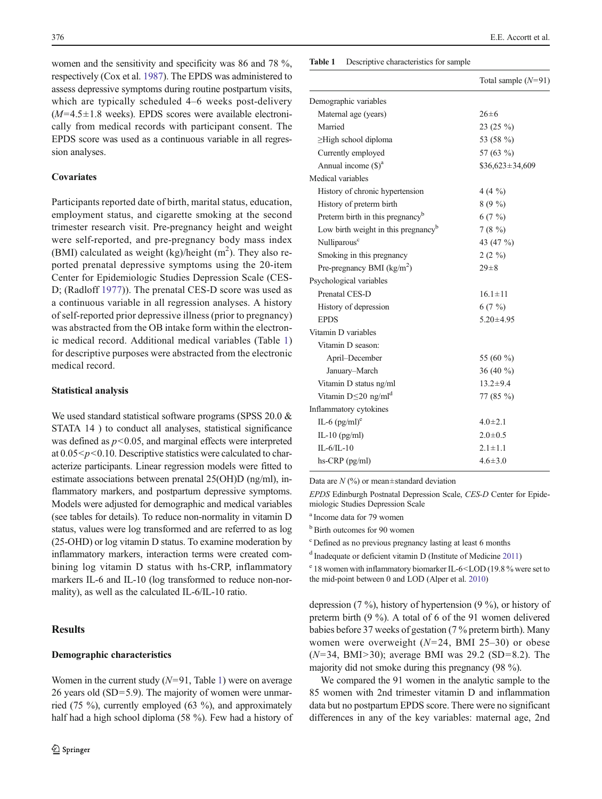<span id="page-3-0"></span>women and the sensitivity and specificity was 86 and 78 %, respectively (Cox et al. [1987](#page-8-0)). The EPDS was administered to assess depressive symptoms during routine postpartum visits, which are typically scheduled 4–6 weeks post-delivery  $(M=4.5\pm1.8$  weeks). EPDS scores were available electronically from medical records with participant consent. The EPDS score was used as a continuous variable in all regression analyses.

# **Covariates**

Participants reported date of birth, marital status, education, employment status, and cigarette smoking at the second trimester research visit. Pre-pregnancy height and weight were self-reported, and pre-pregnancy body mass index (BMI) calculated as weight (kg)/height  $(m<sup>2</sup>)$ . They also reported prenatal depressive symptoms using the 20-item Center for Epidemiologic Studies Depression Scale (CES-D; (Radloff [1977\)](#page-9-0)). The prenatal CES-D score was used as a continuous variable in all regression analyses. A history of self-reported prior depressive illness (prior to pregnancy) was abstracted from the OB intake form within the electronic medical record. Additional medical variables (Table 1) for descriptive purposes were abstracted from the electronic medical record.

#### Statistical analysis

We used standard statistical software programs (SPSS 20.0 & STATA 14 ) to conduct all analyses, statistical significance was defined as  $p<0.05$ , and marginal effects were interpreted at  $0.05 < p < 0.10$ . Descriptive statistics were calculated to characterize participants. Linear regression models were fitted to estimate associations between prenatal 25(OH)D (ng/ml), inflammatory markers, and postpartum depressive symptoms. Models were adjusted for demographic and medical variables (see tables for details). To reduce non-normality in vitamin D status, values were log transformed and are referred to as log (25-OHD) or log vitamin D status. To examine moderation by inflammatory markers, interaction terms were created combining log vitamin D status with hs-CRP, inflammatory markers IL-6 and IL-10 (log transformed to reduce non-normality), as well as the calculated IL-6/IL-10 ratio.

# **Results**

# Demographic characteristics

#### Table 1 Descriptive characteristics for sample

|                                                 | Total sample $(N=91)$ |
|-------------------------------------------------|-----------------------|
| Demographic variables                           |                       |
| Maternal age (years)                            | $26 \pm 6$            |
| Married                                         | 23 (25 %)             |
| $\geq$ High school diploma                      | 53 (58 %)             |
| Currently employed                              | 57 (63 %)             |
| Annual income $(S)^a$                           | $$36,623 \pm 34,609$  |
| Medical variables                               |                       |
| History of chronic hypertension                 | 4 (4 $\frac{9}{0}$ )  |
| History of preterm birth                        | $8(9\%)$              |
| Preterm birth in this pregnancy <sup>b</sup>    | 6(7%)                 |
| Low birth weight in this pregnancy <sup>b</sup> | 7(8%)                 |
| Nulliparous <sup>c</sup>                        | 43 (47 %)             |
| Smoking in this pregnancy                       | $2(2\%)$              |
| Pre-pregnancy BMI $(kg/m2)$                     | $29 \pm 8$            |
| Psychological variables                         |                       |
| Prenatal CES-D                                  | $16.1 \pm 11$         |
| History of depression                           | 6(7%)                 |
| <b>EPDS</b>                                     | $5.20 \pm 4.95$       |
| Vitamin D variables                             |                       |
| Vitamin D season:                               |                       |
| April–December                                  | 55 (60 %)             |
| January-March                                   | 36 $(40\%$            |
| Vitamin D status ng/ml                          | $13.2 \pm 9.4$        |
| Vitamin $D \leq 20$ ng/ml <sup>d</sup>          | 77 (85 %)             |
| Inflammatory cytokines                          |                       |
| IL-6 $(pg/ml)^e$                                | $4.0 \pm 2.1$         |
| IL-10 $(pg/ml)$                                 | $2.0 \pm 0.5$         |
| $IL-6/IL-10$                                    | $2.1 \pm 1.1$         |
| hs-CRP (pg/ml)                                  | $4.6 \pm 3.0$         |
|                                                 |                       |

Data are  $N$  (%) or mean $\pm$ standard deviation

EPDS Edinburgh Postnatal Depression Scale, CES-D Center for Epidemiologic Studies Depression Scale

a Income data for 79 women

<sup>b</sup> Birth outcomes for 90 women

c Defined as no previous pregnancy lasting at least 6 months

<sup>d</sup> Inadequate or deficient vitamin D (Institute of Medicine [2011\)](#page-9-0)

<sup>e</sup> 18 women with inflammatory biomarker IL-6<LOD (19.8 % were set to the mid-point between 0 and LOD (Alper et al. [2010](#page-8-0))

depression (7 %), history of hypertension (9 %), or history of preterm birth (9 %). A total of 6 of the 91 women delivered babies before 37 weeks of gestation (7 % preterm birth). Many women were overweight (N=24, BMI 25–30) or obese  $(N=34, BMI > 30)$ ; average BMI was 29.2 (SD=8.2). The majority did not smoke during this pregnancy (98 %).

We compared the 91 women in the analytic sample to the 85 women with 2nd trimester vitamin D and inflammation data but no postpartum EPDS score. There were no significant differences in any of the key variables: maternal age, 2nd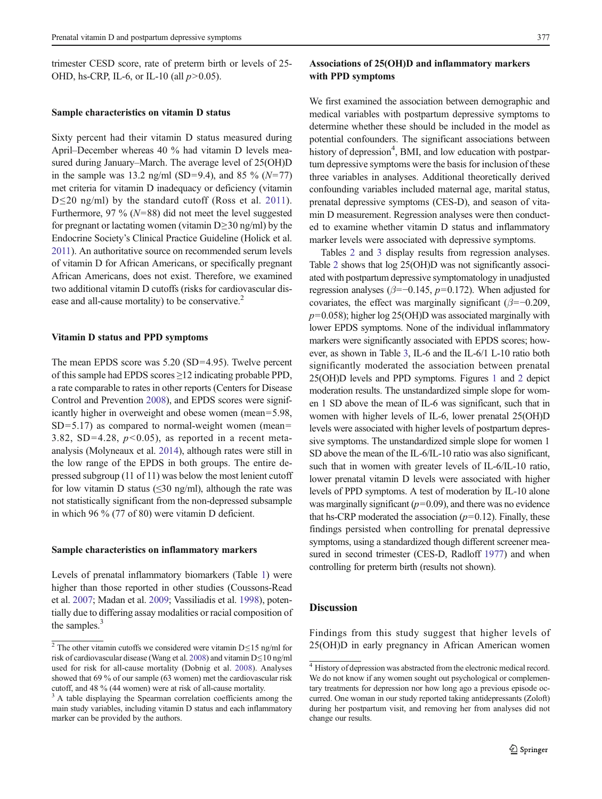trimester CESD score, rate of preterm birth or levels of 25- OHD, hs-CRP, IL-6, or IL-10 (all  $p > 0.05$ ).

#### Sample characteristics on vitamin D status

Sixty percent had their vitamin D status measured during April–December whereas 40 % had vitamin D levels measured during January–March. The average level of 25(OH)D in the sample was 13.2 ng/ml (SD=9.4), and 85 % ( $N=77$ ) met criteria for vitamin D inadequacy or deficiency (vitamin D≤20 ng/ml) by the standard cutoff (Ross et al. [2011](#page-9-0)). Furthermore, 97 % ( $N=88$ ) did not meet the level suggested for pregnant or lactating women (vitamin  $D \geq 30$  ng/ml) by the Endocrine Society's Clinical Practice Guideline (Holick et al. [2011](#page-9-0)). An authoritative source on recommended serum levels of vitamin D for African Americans, or specifically pregnant African Americans, does not exist. Therefore, we examined two additional vitamin D cutoffs (risks for cardiovascular disease and all-cause mortality) to be conservative.<sup>2</sup>

#### Vitamin D status and PPD symptoms

The mean EPDS score was 5.20 (SD=4.95). Twelve percent of this sample had EPDS scores ≥12 indicating probable PPD, a rate comparable to rates in other reports (Centers for Disease Control and Prevention [2008](#page-8-0)), and EPDS scores were significantly higher in overweight and obese women (mean=5.98,  $SD=5.17$ ) as compared to normal-weight women (mean= 3.82, SD=4.28,  $p<0.05$ ), as reported in a recent metaanalysis (Molyneaux et al. [2014\)](#page-9-0), although rates were still in the low range of the EPDS in both groups. The entire depressed subgroup (11 of 11) was below the most lenient cutoff for low vitamin D status ( $\leq$ 30 ng/ml), although the rate was not statistically significant from the non-depressed subsample in which 96 % (77 of 80) were vitamin D deficient.

#### Sample characteristics on inflammatory markers

Levels of prenatal inflammatory biomarkers (Table [1](#page-3-0)) were higher than those reported in other studies (Coussons-Read et al. [2007;](#page-8-0) Madan et al. [2009;](#page-9-0) Vassiliadis et al. [1998](#page-10-0)), potentially due to differing assay modalities or racial composition of the samples.<sup>3</sup>

# Associations of 25(OH)D and inflammatory markers with PPD symptoms

We first examined the association between demographic and medical variables with postpartum depressive symptoms to determine whether these should be included in the model as potential confounders. The significant associations between history of depression<sup>4</sup>, BMI, and low education with postpartum depressive symptoms were the basis for inclusion of these three variables in analyses. Additional theoretically derived confounding variables included maternal age, marital status, prenatal depressive symptoms (CES-D), and season of vitamin D measurement. Regression analyses were then conducted to examine whether vitamin D status and inflammatory marker levels were associated with depressive symptoms.

Tables [2](#page-5-0) and [3](#page-5-0) display results from regression analyses. Table [2](#page-5-0) shows that log 25(OH)D was not significantly associated with postpartum depressive symptomatology in unadjusted regression analyses ( $\beta$ =−0.145,  $p$ =0.172). When adjusted for covariates, the effect was marginally significant ( $\beta$ =−0.209,  $p=0.058$ ); higher log 25(OH)D was associated marginally with lower EPDS symptoms. None of the individual inflammatory markers were significantly associated with EPDS scores; however, as shown in Table [3,](#page-5-0) IL-6 and the IL-6/1 L-10 ratio both significantly moderated the association between prenatal 25(OH)D levels and PPD symptoms. Figures [1](#page-5-0) and [2](#page-5-0) depict moderation results. The unstandardized simple slope for women 1 SD above the mean of IL-6 was significant, such that in women with higher levels of IL-6, lower prenatal 25(OH)D levels were associated with higher levels of postpartum depressive symptoms. The unstandardized simple slope for women 1 SD above the mean of the IL-6/IL-10 ratio was also significant, such that in women with greater levels of IL-6/IL-10 ratio, lower prenatal vitamin D levels were associated with higher levels of PPD symptoms. A test of moderation by IL-10 alone was marginally significant  $(p=0.09)$ , and there was no evidence that hs-CRP moderated the association  $(p=0.12)$ . Finally, these findings persisted when controlling for prenatal depressive symptoms, using a standardized though different screener mea-sured in second trimester (CES-D, Radloff [1977\)](#page-9-0) and when controlling for preterm birth (results not shown).

# **Discussion**

Findings from this study suggest that higher levels of <sup>2</sup> The other vitamin cutoffs we considered were vitamin D≤15 ng/ml for 25(OH)D in early pregnancy in African American women

risk of cardiovascular disease (Wang et al. [2008\)](#page-10-0) and vitamin D≤10 ng/ml used for risk for all-cause mortality (Dobnig et al. [2008\)](#page-8-0). Analyses showed that 69 % of our sample (63 women) met the cardiovascular risk cutoff, and 48 % (44 women) were at risk of all-cause mortality.

 $3$  A table displaying the Spearman correlation coefficients among the main study variables, including vitamin D status and each inflammatory marker can be provided by the authors.

<sup>&</sup>lt;sup>4</sup> History of depression was abstracted from the electronic medical record. We do not know if any women sought out psychological or complementary treatments for depression nor how long ago a previous episode occurred. One woman in our study reported taking antidepressants (Zoloft) during her postpartum visit, and removing her from analyses did not change our results.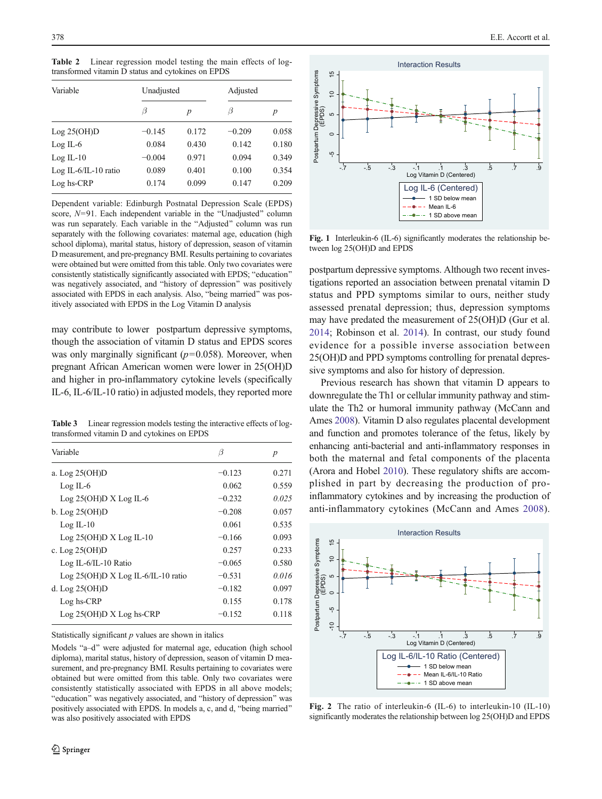<span id="page-5-0"></span>Table 2 Linear regression model testing the main effects of logtransformed vitamin D status and cytokines on EPDS

| Variable                 | Unadjusted |       | Adjusted |       |
|--------------------------|------------|-------|----------|-------|
|                          | Β          | p     | B        | p     |
| Log 25(OH)D              | $-0.145$   | 0.172 | $-0.209$ | 0.058 |
| $Log IL-6$               | 0.084      | 0.430 | 0.142    | 0.180 |
| $Log IL-10$              | $-0.004$   | 0.971 | 0.094    | 0.349 |
| Log IL- $6$ /IL-10 ratio | 0.089      | 0.401 | 0.100    | 0.354 |
| Log hs-CRP               | 0.174      | 0.099 | 0.147    | 0.209 |

Dependent variable: Edinburgh Postnatal Depression Scale (EPDS) score,  $N=91$ . Each independent variable in the "Unadjusted" column was run separately. Each variable in the "Adjusted" column was run separately with the following covariates: maternal age, education (high school diploma), marital status, history of depression, season of vitamin D measurement, and pre-pregnancy BMI. Results pertaining to covariates were obtained but were omitted from this table. Only two covariates were consistently statistically significantly associated with EPDS; "education" was negatively associated, and "history of depression" was positively associated with EPDS in each analysis. Also, "being married" was positively associated with EPDS in the Log Vitamin D analysis

may contribute to lower postpartum depressive symptoms, though the association of vitamin D status and EPDS scores was only marginally significant  $(p=0.058)$ . Moreover, when pregnant African American women were lower in 25(OH)D and higher in pro-inflammatory cytokine levels (specifically IL-6, IL-6/IL-10 ratio) in adjusted models, they reported more

Table 3 Linear regression models testing the interactive effects of logtransformed vitamin D and cytokines on EPDS

| Variable                             | β        | p     |
|--------------------------------------|----------|-------|
| a. Log 25(OH)D                       | $-0.123$ | 0.271 |
| $Log IL-6$                           | 0.062    | 0.559 |
| $Log 25(OH)D X Log IL-6$             | $-0.232$ | 0.025 |
| $b.$ Log $25(OH)D$                   | $-0.208$ | 0.057 |
| $Log IL-10$                          | 0.061    | 0.535 |
| $Log 25(OH)D X Log IL-10$            | $-0.166$ | 0.093 |
| c. Log $25(OH)D$                     | 0.257    | 0.233 |
| Log IL-6/IL-10 Ratio                 | $-0.065$ | 0.580 |
| Log $25(OH)D X Log IL-6/IL-10 ratio$ | $-0.531$ | 0.016 |
| d. Log $25(OH)D$                     | $-0.182$ | 0.097 |
| Log hs-CRP                           | 0.155    | 0.178 |
| $Log 25(OH)D X Log$ hs-CRP           | $-0.152$ | 0.118 |

Statistically significant  $p$  values are shown in italics

Models "a-d" were adjusted for maternal age, education (high school diploma), marital status, history of depression, season of vitamin D measurement, and pre-pregnancy BMI. Results pertaining to covariates were obtained but were omitted from this table. Only two covariates were consistently statistically associated with EPDS in all above models; "education" was negatively associated, and "history of depression" was positively associated with EPDS. In models a, c, and d, "being married" was also positively associated with EPDS



Fig. 1 Interleukin-6 (IL-6) significantly moderates the relationship between log 25(OH)D and EPDS

postpartum depressive symptoms. Although two recent investigations reported an association between prenatal vitamin D status and PPD symptoms similar to ours, neither study assessed prenatal depression; thus, depression symptoms may have predated the measurement of 25(OH)D (Gur et al. [2014](#page-9-0); Robinson et al. [2014](#page-9-0)). In contrast, our study found evidence for a possible inverse association between 25(OH)D and PPD symptoms controlling for prenatal depressive symptoms and also for history of depression.

Previous research has shown that vitamin D appears to downregulate the Th1 or cellular immunity pathway and stimulate the Th2 or humoral immunity pathway (McCann and Ames [2008\)](#page-9-0). Vitamin D also regulates placental development and function and promotes tolerance of the fetus, likely by enhancing anti-bacterial and anti-inflammatory responses in both the maternal and fetal components of the placenta (Arora and Hobel [2010\)](#page-8-0). These regulatory shifts are accomplished in part by decreasing the production of proinflammatory cytokines and by increasing the production of anti-inflammatory cytokines (McCann and Ames [2008](#page-9-0)).



Fig. 2 The ratio of interleukin-6 (IL-6) to interleukin-10 (IL-10) significantly moderates the relationship between log 25(OH)D and EPDS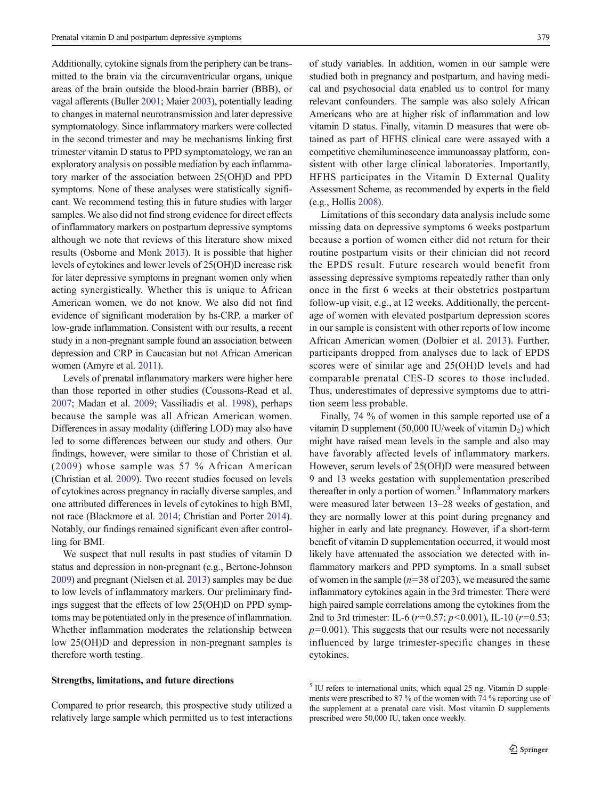Additionally, cytokine signals from the periphery can be transmitted to the brain via the circumventricular organs, unique areas of the brain outside the blood-brain barrier (BBB), or vagal afferents (Buller [2001](#page-8-0); Maier [2003](#page-9-0)), potentially leading to changes in maternal neurotransmission and later depressive symptomatology. Since inflammatory markers were collected in the second trimester and may be mechanisms linking first trimester vitamin D status to PPD symptomatology, we ran an exploratory analysis on possible mediation by each inflammatory marker of the association between 25(OH)D and PPD symptoms. None of these analyses were statistically significant. We recommend testing this in future studies with larger samples. We also did not find strong evidence for direct effects of inflammatory markers on postpartum depressive symptoms although we note that reviews of this literature show mixed results (Osborne and Monk [2013](#page-9-0)). It is possible that higher levels of cytokines and lower levels of 25(OH)D increase risk for later depressive symptoms in pregnant women only when acting synergistically. Whether this is unique to African American women, we do not know. We also did not find evidence of significant moderation by hs-CRP, a marker of low-grade inflammation. Consistent with our results, a recent study in a non-pregnant sample found an association between depression and CRP in Caucasian but not African American women (Amyre et al. [2011\)](#page-8-0).

Levels of prenatal inflammatory markers were higher here than those reported in other studies (Coussons-Read et al. [2007;](#page-8-0) Madan et al. [2009;](#page-9-0) Vassiliadis et al. [1998\)](#page-10-0), perhaps because the sample was all African American women. Differences in assay modality (differing LOD) may also have led to some differences between our study and others. Our findings, however, were similar to those of Christian et al. ([2009\)](#page-8-0) whose sample was 57 % African American (Christian et al. [2009\)](#page-8-0). Two recent studies focused on levels of cytokines across pregnancy in racially diverse samples, and one attributed differences in levels of cytokines to high BMI, not race (Blackmore et al. [2014](#page-8-0); Christian and Porter [2014\)](#page-8-0). Notably, our findings remained significant even after controlling for BMI.

We suspect that null results in past studies of vitamin D status and depression in non-pregnant (e.g., Bertone-Johnson [2009\)](#page-8-0) and pregnant (Nielsen et al. [2013\)](#page-9-0) samples may be due to low levels of inflammatory markers. Our preliminary findings suggest that the effects of low 25(OH)D on PPD symptoms may be potentiated only in the presence of inflammation. Whether inflammation moderates the relationship between low 25(OH)D and depression in non-pregnant samples is therefore worth testing.

# Strengths, limitations, and future directions

Compared to prior research, this prospective study utilized a relatively large sample which permitted us to test interactions of study variables. In addition, women in our sample were studied both in pregnancy and postpartum, and having medical and psychosocial data enabled us to control for many relevant confounders. The sample was also solely African Americans who are at higher risk of inflammation and low vitamin D status. Finally, vitamin D measures that were obtained as part of HFHS clinical care were assayed with a competitive chemiluminescence immunoassay platform, consistent with other large clinical laboratories. Importantly, HFHS participates in the Vitamin D External Quality Assessment Scheme, as recommended by experts in the field (e.g., Hollis [2008](#page-9-0)).

Limitations of this secondary data analysis include some missing data on depressive symptoms 6 weeks postpartum because a portion of women either did not return for their routine postpartum visits or their clinician did not record the EPDS result. Future research would benefit from assessing depressive symptoms repeatedly rather than only once in the first 6 weeks at their obstetrics postpartum follow-up visit, e.g., at 12 weeks. Additionally, the percentage of women with elevated postpartum depression scores in our sample is consistent with other reports of low income African American women (Dolbier et al. [2013](#page-8-0)). Further, participants dropped from analyses due to lack of EPDS scores were of similar age and 25(OH)D levels and had comparable prenatal CES-D scores to those included. Thus, underestimates of depressive symptoms due to attrition seem less probable.

Finally, 74 % of women in this sample reported use of a vitamin D supplement (50,000 IU/week of vitamin  $D_2$ ) which might have raised mean levels in the sample and also may have favorably affected levels of inflammatory markers. However, serum levels of 25(OH)D were measured between 9 and 13 weeks gestation with supplementation prescribed thereafter in only a portion of women.<sup>5</sup> Inflammatory markers were measured later between 13–28 weeks of gestation, and they are normally lower at this point during pregnancy and higher in early and late pregnancy. However, if a short-term benefit of vitamin D supplementation occurred, it would most likely have attenuated the association we detected with inflammatory markers and PPD symptoms. In a small subset of women in the sample ( $n=38$  of 203), we measured the same inflammatory cytokines again in the 3rd trimester. There were high paired sample correlations among the cytokines from the 2nd to 3rd trimester: IL-6 ( $r=0.57$ ;  $p<0.001$ ), IL-10 ( $r=0.53$ ;  $p=0.001$ ). This suggests that our results were not necessarily influenced by large trimester-specific changes in these cytokines.

<sup>5</sup> IU refers to international units, which equal 25 ng. Vitamin D supplements were prescribed to 87 % of the women with 74 % reporting use of the supplement at a prenatal care visit. Most vitamin D supplements prescribed were 50,000 IU, taken once weekly.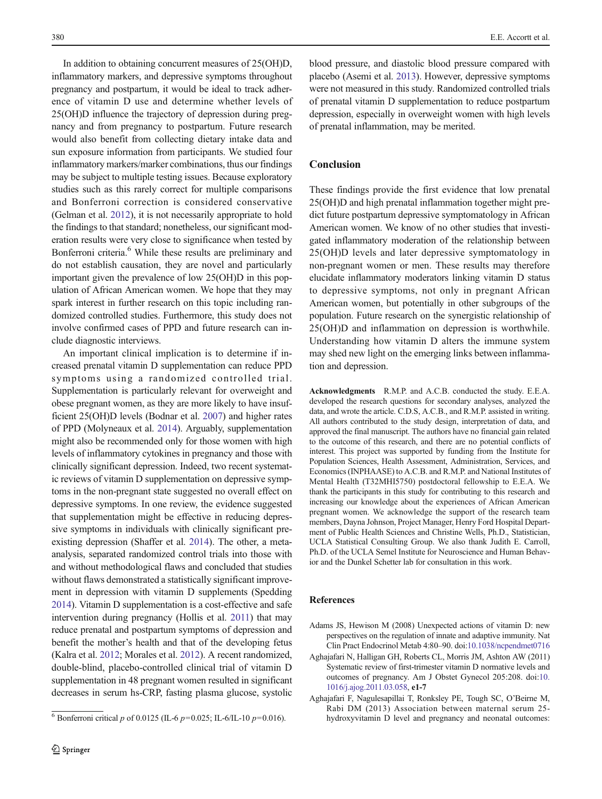<span id="page-7-0"></span>In addition to obtaining concurrent measures of 25(OH)D, inflammatory markers, and depressive symptoms throughout pregnancy and postpartum, it would be ideal to track adherence of vitamin D use and determine whether levels of 25(OH)D influence the trajectory of depression during pregnancy and from pregnancy to postpartum. Future research would also benefit from collecting dietary intake data and sun exposure information from participants. We studied four inflammatory markers/marker combinations, thus our findings may be subject to multiple testing issues. Because exploratory studies such as this rarely correct for multiple comparisons and Bonferroni correction is considered conservative (Gelman et al. [2012\)](#page-8-0), it is not necessarily appropriate to hold the findings to that standard; nonetheless, our significant moderation results were very close to significance when tested by Bonferroni criteria.<sup>6</sup> While these results are preliminary and do not establish causation, they are novel and particularly important given the prevalence of low 25(OH)D in this population of African American women. We hope that they may spark interest in further research on this topic including randomized controlled studies. Furthermore, this study does not involve confirmed cases of PPD and future research can include diagnostic interviews.

An important clinical implication is to determine if increased prenatal vitamin D supplementation can reduce PPD symptoms using a randomized controlled trial. Supplementation is particularly relevant for overweight and obese pregnant women, as they are more likely to have insufficient 25(OH)D levels (Bodnar et al. [2007](#page-8-0)) and higher rates of PPD (Molyneaux et al. [2014](#page-9-0)). Arguably, supplementation might also be recommended only for those women with high levels of inflammatory cytokines in pregnancy and those with clinically significant depression. Indeed, two recent systematic reviews of vitamin D supplementation on depressive symptoms in the non-pregnant state suggested no overall effect on depressive symptoms. In one review, the evidence suggested that supplementation might be effective in reducing depressive symptoms in individuals with clinically significant preexisting depression (Shaffer et al. [2014\)](#page-9-0). The other, a metaanalysis, separated randomized control trials into those with and without methodological flaws and concluded that studies without flaws demonstrated a statistically significant improvement in depression with vitamin D supplements (Spedding [2014\)](#page-9-0). Vitamin D supplementation is a cost-effective and safe intervention during pregnancy (Hollis et al. [2011](#page-9-0)) that may reduce prenatal and postpartum symptoms of depression and benefit the mother's health and that of the developing fetus (Kalra et al. [2012](#page-9-0); Morales et al. [2012\)](#page-9-0). A recent randomized, double-blind, placebo-controlled clinical trial of vitamin D supplementation in 48 pregnant women resulted in significant decreases in serum hs-CRP, fasting plasma glucose, systolic

blood pressure, and diastolic blood pressure compared with placebo (Asemi et al. [2013\)](#page-8-0). However, depressive symptoms were not measured in this study. Randomized controlled trials of prenatal vitamin D supplementation to reduce postpartum depression, especially in overweight women with high levels of prenatal inflammation, may be merited.

# **Conclusion**

These findings provide the first evidence that low prenatal 25(OH)D and high prenatal inflammation together might predict future postpartum depressive symptomatology in African American women. We know of no other studies that investigated inflammatory moderation of the relationship between 25(OH)D levels and later depressive symptomatology in non-pregnant women or men. These results may therefore elucidate inflammatory moderators linking vitamin D status to depressive symptoms, not only in pregnant African American women, but potentially in other subgroups of the population. Future research on the synergistic relationship of 25(OH)D and inflammation on depression is worthwhile. Understanding how vitamin D alters the immune system may shed new light on the emerging links between inflammation and depression.

Acknowledgments R.M.P. and A.C.B. conducted the study. E.E.A. developed the research questions for secondary analyses, analyzed the data, and wrote the article. C.D.S, A.C.B., and R.M.P. assisted in writing. All authors contributed to the study design, interpretation of data, and approved the final manuscript. The authors have no financial gain related to the outcome of this research, and there are no potential conflicts of interest. This project was supported by funding from the Institute for Population Sciences, Health Assessment, Administration, Services, and Economics (INPHAASE) to A.C.B. and R.M.P. and National Institutes of Mental Health (T32MHI5750) postdoctoral fellowship to E.E.A. We thank the participants in this study for contributing to this research and increasing our knowledge about the experiences of African American pregnant women. We acknowledge the support of the research team members, Dayna Johnson, Project Manager, Henry Ford Hospital Department of Public Health Sciences and Christine Wells, Ph.D., Statistician, UCLA Statistical Consulting Group. We also thank Judith E. Carroll, Ph.D. of the UCLA Semel Institute for Neuroscience and Human Behavior and the Dunkel Schetter lab for consultation in this work.

# References

- Adams JS, Hewison M (2008) Unexpected actions of vitamin D: new perspectives on the regulation of innate and adaptive immunity. Nat Clin Pract Endocrinol Metab 4:80–90. doi:[10.1038/ncpendmet0716](http://dx.doi.org/10.1038/ncpendmet0716)
- Aghajafari N, Halligan GH, Roberts CL, Morris JM, Ashton AW (2011) Systematic review of first-trimester vitamin D normative levels and outcomes of pregnancy. Am J Obstet Gynecol 205:208. doi:[10.](http://dx.doi.org/10.1016/j.ajog.2011.03.058) [1016/j.ajog.2011.03.058](http://dx.doi.org/10.1016/j.ajog.2011.03.058), e1-7
- Aghajafari F, Nagulesapillai T, Ronksley PE, Tough SC, O'Beirne M, Rabi DM (2013) Association between maternal serum 25- <sup>6</sup> Bonferroni critical p of 0.0125 (IL-6 p=0.025; IL-6/IL-10 p=0.016). hydroxyvitamin D level and pregnancy and neonatal outcomes: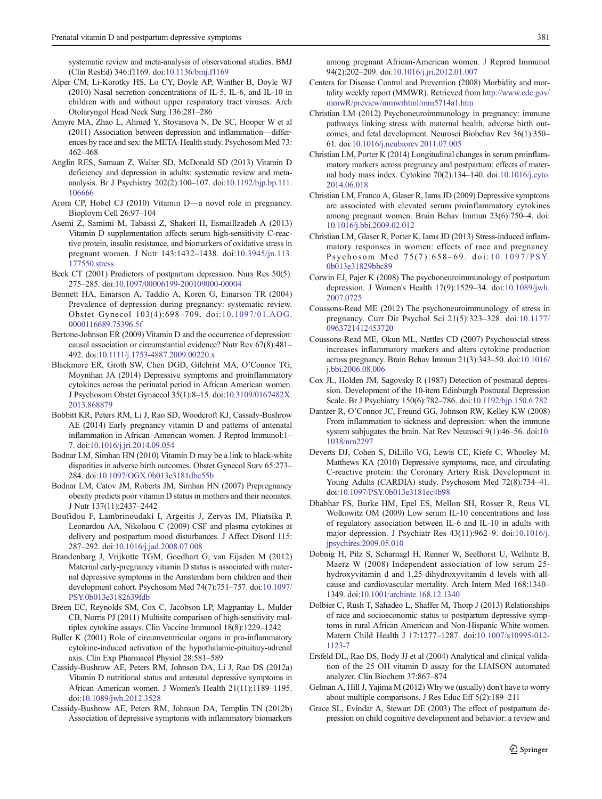<span id="page-8-0"></span>systematic review and meta-analysis of observational studies. BMJ (Clin ResEd) 346:f1169. doi:[10.1136/bmj.f1169](http://dx.doi.org/10.1136/bmj.f1169)

- Alper CM, Li-Korotky HS, Lo CY, Doyle AP, Winther B, Doyle WJ (2010) Nasal secretion concentrations of IL-5, IL-6, and IL-10 in children with and without upper respiratory tract viruses. Arch Otolaryngol Head Neck Surg 136:281–286
- Amyre MA, Zhao L, Ahmed Y, Stoyanova N, De SC, Hooper W et al (2011) Association between depression and inflammation—differences by race and sex: the META-Health study. Psychosom Med 73: 462–468
- Anglin RES, Samaan Z, Walter SD, McDonald SD (2013) Vitamin D deficiency and depression in adults: systematic review and metaanalysis. Br J Psychiatry 202(2):100–107. doi:[10.1192/bjp.bp.111.](http://dx.doi.org/10.1192/bjp.bp.111.106666) [106666](http://dx.doi.org/10.1192/bjp.bp.111.106666)
- Arora CP, Hobel CJ (2010) Vitamin D—a novel role in pregnancy. Bioploym Cell 26:97–104
- Asemi Z, Samimi M, Tabassi Z, Shakeri H, Esmaillzadeh A (2013) Vitamin D supplementation affects serum high-sensitivity C-reactive protein, insulin resistance, and biomarkers of oxidative stress in pregnant women. J Nutr 143:1432–1438. doi:[10.3945/jn.113.](http://dx.doi.org/10.3945/jn.113.177550.stress) [177550.stress](http://dx.doi.org/10.3945/jn.113.177550.stress)
- Beck CT (2001) Predictors of postpartum depression. Nurs Res 50(5): 275–285. doi[:10.1097/00006199-200109000-00004](http://dx.doi.org/10.1097/00006199-200109000-00004)
- Bennett HA, Einarson A, Taddio A, Koren G, Einarson TR (2004) Prevalence of depression during pregnancy: systematic review. Obstet Gynecol 103(4):698–709. doi:[10.1097/01.AOG.](http://dx.doi.org/10.1097/01.AOG.0000116689.75396.5f) [0000116689.75396.5f](http://dx.doi.org/10.1097/01.AOG.0000116689.75396.5f)
- Bertone-Johnson ER (2009) Vitamin D and the occurrence of depression: causal association or circumstantial evidence? Nutr Rev 67(8):481– 492. doi[:10.1111/j.1753-4887.2009.00220.x](http://dx.doi.org/10.1111/j.1753-4887.2009.00220.x)
- Blackmore ER, Groth SW, Chen DGD, Gilchrist MA, O'Connor TG, Moynihan JA (2014) Depressive symptoms and proinflammatory cytokines across the perinatal period in African American women. J Psychosom Obstet Gynaecol 35(1):8–15. doi[:10.3109/0167482X.](http://dx.doi.org/10.3109/0167482X.2013.868879) [2013.868879](http://dx.doi.org/10.3109/0167482X.2013.868879)
- Bobbitt KR, Peters RM, Li J, Rao SD, Woodcroft KJ, Cassidy-Bushrow AE (2014) Early pregnancy vitamin D and patterns of antenatal inflammation in African–American women. J Reprod Immunol:1– 7. doi[:10.1016/j.jri.2014.09.054](http://dx.doi.org/10.1016/j.jri.2014.09.054)
- Bodnar LM, Simhan HN (2010) Vitamin D may be a link to black-white disparities in adverse birth outcomes. Obstet Gynecol Surv 65:273– 284. doi[:10.1097/OGX.0b013e3181dbc55b](http://dx.doi.org/10.1097/OGX.0b013e3181dbc55b)
- Bodnar LM, Catov JM, Roberts JM, Simhan HN (2007) Prepregnancy obesity predicts poor vitamin D status in mothers and their neonates. J Nutr 137(11):2437–2442
- Boufidou F, Lambrinoudaki I, Argeitis J, Zervas IM, Pliatsika P, Leonardou AA, Nikolaou C (2009) CSF and plasma cytokines at delivery and postpartum mood disturbances. J Affect Disord 115: 287–292. doi[:10.1016/j.jad.2008.07.008](http://dx.doi.org/10.1016/j.jad.2008.07.008)
- Brandenbarg J, Vrijkotte TGM, Goedhart G, van Eijsden M (2012) Maternal early-pregnancy vitamin D status is associated with maternal depressive symptoms in the Amsterdam born children and their development cohort. Psychosom Med 74(7):751–757. doi[:10.1097/](http://dx.doi.org/10.1097/PSY.0b013e3182639fdb) [PSY.0b013e3182639fdb](http://dx.doi.org/10.1097/PSY.0b013e3182639fdb)
- Breen EC, Reynolds SM, Cox C, Jacobson LP, Magpantay L, Mulder CB, Norris PJ (2011) Multisite comparison of high-sensitivity multiplex cytokine assays. Clin Vaccine Immunol 18(8):1229–1242
- Buller K (2001) Role of circumventricular organs in pro-inflammatory cytokine-induced activation of the hypothalamic-pituitary-adrenal axis. Clin Exp Pharmacol Physiol 28:581–589
- Cassidy-Bushrow AE, Peters RM, Johnson DA, Li J, Rao DS (2012a) Vitamin D nutritional status and antenatal depressive symptoms in African American women. J Women's Health 21(11):1189–1195. doi:[10.1089/jwh.2012.3528](http://dx.doi.org/10.1089/jwh.2012.3528)
- Cassidy-Bushrow AE, Peters RM, Johnson DA, Templin TN (2012b) Association of depressive symptoms with inflammatory biomarkers

among pregnant African-American women. J Reprod Immunol 94(2):202–209. doi:[10.1016/j.jri.2012.01.007](http://dx.doi.org/10.1016/j.jri.2012.01.007)

- Centers for Disease Control and Prevention (2008) Morbidity and mortality weekly report (MMWR). Retrieved from [http://www.cdc.gov/](http://www.cdc.gov/mmwR/preview/mmwrhtml/mm5714a1.htm) [mmwR/preview/mmwrhtml/mm5714a1.htm](http://www.cdc.gov/mmwR/preview/mmwrhtml/mm5714a1.htm)
- Christian LM (2012) Psychoneuroimmunology in pregnancy: immune pathways linking stress with maternal health, adverse birth outcomes, and fetal development. Neurosci Biobehav Rev 36(1):350– 61. doi[:10.1016/j.neubiorev.2011.07.005](http://dx.doi.org/10.1016/j.neubiorev.2011.07.005)
- Christian LM, Porter K (2014) Longitudinal changes in serum proinflammatory markers across pregnancy and postpartum: effects of maternal body mass index. Cytokine 70(2):134–140. doi:[10.1016/j.cyto.](http://dx.doi.org/10.1016/j.cyto.2014.06.018) [2014.06.018](http://dx.doi.org/10.1016/j.cyto.2014.06.018)
- Christian LM, Franco A, Glaser R, Iams JD (2009) Depressive symptoms are associated with elevated serum proinflammatory cytokines among pregnant women. Brain Behav Immun 23(6):750–4. doi: [10.1016/j.bbi.2009.02.012](http://dx.doi.org/10.1016/j.bbi.2009.02.012)
- Christian LM, Glaser R, Porter K, Iams JD (2013) Stress-induced inflammatory responses in women: effects of race and pregnancy. Psychosom Med 75(7):658-69. doi:10.1097/PSY. [0b013e31829bbc89](http://dx.doi.org/10.1097/PSY.0b013e31829bbc89)
- Corwin EJ, Pajer K (2008) The psychoneuroimmunology of postpartum depression. J Women's Health 17(9):1529–34. doi:[10.1089/jwh.](http://dx.doi.org/10.1089/jwh.2007.0725) [2007.0725](http://dx.doi.org/10.1089/jwh.2007.0725)
- Coussons-Read ME (2012) The psychoneuroimmunology of stress in pregnancy. Curr Dir Psychol Sci 21(5):323–328. doi:[10.1177/](http://dx.doi.org/10.1177/0963721412453720) [0963721412453720](http://dx.doi.org/10.1177/0963721412453720)
- Coussons-Read ME, Okun ML, Nettles CD (2007) Psychosocial stress increases inflammatory markers and alters cytokine production across pregnancy. Brain Behav Immun 21(3):343–50. doi[:10.1016/](http://dx.doi.org/10.1016/j.bbi.2006.08.006) [j.bbi.2006.08.006](http://dx.doi.org/10.1016/j.bbi.2006.08.006)
- Cox JL, Holden JM, Sagovsky R (1987) Detection of postnatal depression. Development of the 10-item Edinburgh Postnatal Depression Scale. Br J Psychiatry 150(6):782–786. doi[:10.1192/bjp.150.6.782](http://dx.doi.org/10.1192/bjp.150.6.782)
- Dantzer R, O'Connor JC, Freund GG, Johnson RW, Kelley KW (2008) From inflammation to sickness and depression: when the immune system subjugates the brain. Nat Rev Neurosci 9(1):46–56. doi[:10.](http://dx.doi.org/10.1038/nrn2297) [1038/nrn2297](http://dx.doi.org/10.1038/nrn2297)
- Deverts DJ, Cohen S, DiLillo VG, Lewis CE, Kiefe C, Whooley M, Matthews KA (2010) Depressive symptoms, race, and circulating C-reactive protein: the Coronary Artery Risk Development in Young Adults (CARDIA) study. Psychosom Med 72(8):734–41. doi:[10.1097/PSY.0b013e3181ec4b98](http://dx.doi.org/10.1097/PSY.0b013e3181ec4b98)
- Dhabhar FS, Burke HM, Epel ES, Mellon SH, Rosser R, Reus VI, Wolkowitz OM (2009) Low serum IL-10 concentrations and loss of regulatory association between IL-6 and IL-10 in adults with major depression. J Psychiatr Res 43(11):962–9. doi:[10.1016/j.](http://dx.doi.org/10.1016/j.jpsychires.2009.05.010) [jpsychires.2009.05.010](http://dx.doi.org/10.1016/j.jpsychires.2009.05.010)
- Dobnig H, Pilz S, Scharnagl H, Renner W, Seelhorst U, Wellnitz B, Maerz W (2008) Independent association of low serum 25 hydroxyvitamin d and 1,25-dihydroxyvitamin d levels with allcause and cardiovascular mortality. Arch Intern Med 168:1340– 1349. doi:[10.1001/archinte.168.12.1340](http://dx.doi.org/10.1001/archinte.168.12.1340)
- Dolbier C, Rush T, Sahadeo L, Shaffer M, Thorp J (2013) Relationships of race and socioeconomic status to postpartum depressive symptoms in rural African American and Non-Hispanic White women. Matern Child Health J 17:1277–1287. doi:[10.1007/s10995-012-](http://dx.doi.org/10.1007/s10995-012-1123-7) [1123-7](http://dx.doi.org/10.1007/s10995-012-1123-7)
- Ersfeld DL, Rao DS, Body JJ et al (2004) Analytical and clinical validation of the 25 OH vitamin D assay for the LIAISON automated analyzer. Clin Biochem 37:867–874
- Gelman A, Hill J, Yajima M (2012) Why we (usually) don't have to worry about multiple comparisons. J Res Educ Eff 5(2):189–211
- Grace SL, Evindar A, Stewart DE (2003) The effect of postpartum depression on child cognitive development and behavior: a review and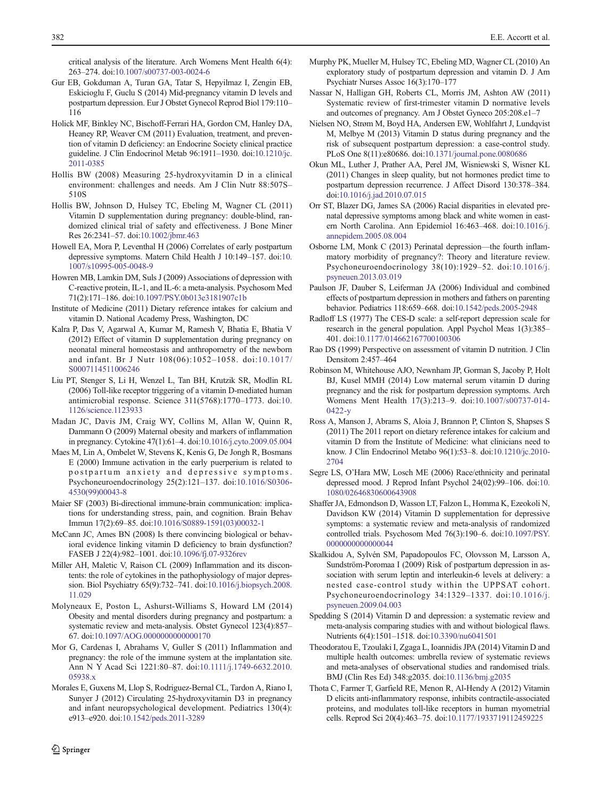<span id="page-9-0"></span>critical analysis of the literature. Arch Womens Ment Health 6(4): 263–274. doi[:10.1007/s00737-003-0024-6](http://dx.doi.org/10.1007/s00737-003-0024-6)

- Gur EB, Gokduman A, Turan GA, Tatar S, Hepyilmaz I, Zengin EB, Eskicioglu F, Guclu S (2014) Mid-pregnancy vitamin D levels and postpartum depression. Eur J Obstet Gynecol Reprod Biol 179:110– 116
- Holick MF, Binkley NC, Bischoff-Ferrari HA, Gordon CM, Hanley DA, Heaney RP, Weaver CM (2011) Evaluation, treatment, and prevention of vitamin D deficiency: an Endocrine Society clinical practice guideline. J Clin Endocrinol Metab 96:1911–1930. doi[:10.1210/jc.](http://dx.doi.org/10.1210/jc.2011-0385) [2011-0385](http://dx.doi.org/10.1210/jc.2011-0385)
- Hollis BW (2008) Measuring 25-hydroxyvitamin D in a clinical environment: challenges and needs. Am J Clin Nutr 88:507S– 510S
- Hollis BW, Johnson D, Hulsey TC, Ebeling M, Wagner CL (2011) Vitamin D supplementation during pregnancy: double-blind, randomized clinical trial of safety and effectiveness. J Bone Miner Res 26:2341–57. doi[:10.1002/jbmr.463](http://dx.doi.org/10.1002/jbmr.463)
- Howell EA, Mora P, Leventhal H (2006) Correlates of early postpartum depressive symptoms. Matern Child Health J 10:149–157. doi:[10.](http://dx.doi.org/10.1007/s10995-005-0048-9) [1007/s10995-005-0048-9](http://dx.doi.org/10.1007/s10995-005-0048-9)
- Howren MB, Lamkin DM, Suls J (2009) Associations of depression with C-reactive protein, IL-1, and IL-6: a meta-analysis. Psychosom Med 71(2):171–186. doi:[10.1097/PSY.0b013e3181907c1b](http://dx.doi.org/10.1097/PSY.0b013e3181907c1b)
- Institute of Medicine (2011) Dietary reference intakes for calcium and vitamin D. National Academy Press, Washington, DC
- Kalra P, Das V, Agarwal A, Kumar M, Ramesh V, Bhatia E, Bhatia V (2012) Effect of vitamin D supplementation during pregnancy on neonatal mineral homeostasis and anthropometry of the newborn and infant. Br J Nutr 108(06):1052–1058. doi:[10.1017/](http://dx.doi.org/10.1017/S0007114511006246) [S0007114511006246](http://dx.doi.org/10.1017/S0007114511006246)
- Liu PT, Stenger S, Li H, Wenzel L, Tan BH, Krutzik SR, Modlin RL (2006) Toll-like receptor triggering of a vitamin D-mediated human antimicrobial response. Science 311(5768):1770–1773. doi[:10.](http://dx.doi.org/10.1126/science.1123933) [1126/science.1123933](http://dx.doi.org/10.1126/science.1123933)
- Madan JC, Davis JM, Craig WY, Collins M, Allan W, Quinn R, Dammann O (2009) Maternal obesity and markers of inflammation in pregnancy. Cytokine 47(1):61–4. doi[:10.1016/j.cyto.2009.05.004](http://dx.doi.org/10.1016/j.cyto.2009.05.004)
- Maes M, Lin A, Ombelet W, Stevens K, Kenis G, De Jongh R, Bosmans E (2000) Immune activation in the early puerperium is related to postpartum anxiety and depressive symptoms. Psychoneuroendocrinology 25(2):121–137. doi[:10.1016/S0306-](http://dx.doi.org/10.1016/S0306-4530(99)00043-8) [4530\(99\)00043-8](http://dx.doi.org/10.1016/S0306-4530(99)00043-8)
- Maier SF (2003) Bi-directional immune-brain communication: implications for understanding stress, pain, and cognition. Brain Behav Immun 17(2):69–85. doi:[10.1016/S0889-1591\(03\)00032-1](http://dx.doi.org/10.1016/S0889-1591(03)00032-1)
- McCann JC, Ames BN (2008) Is there convincing biological or behavioral evidence linking vitamin D deficiency to brain dysfunction? FASEB J 22(4):982–1001. doi:[10.1096/fj.07-9326rev](http://dx.doi.org/10.1096/fj.07-9326rev)
- Miller AH, Maletic V, Raison CL (2009) Inflammation and its discontents: the role of cytokines in the pathophysiology of major depression. Biol Psychiatry 65(9):732–741. doi:[10.1016/j.biopsych.2008.](http://dx.doi.org/10.1016/j.biopsych.2008.11.029) [11.029](http://dx.doi.org/10.1016/j.biopsych.2008.11.029)
- Molyneaux E, Poston L, Ashurst-Williams S, Howard LM (2014) Obesity and mental disorders during pregnancy and postpartum: a systematic review and meta-analysis. Obstet Gynecol 123(4):857– 67. doi[:10.1097/AOG.0000000000000170](http://dx.doi.org/10.1097/AOG.0000000000000170)
- Mor G, Cardenas I, Abrahams V, Guller S (2011) Inflammation and pregnancy: the role of the immune system at the implantation site. Ann N Y Acad Sci 1221:80–87. doi:[10.1111/j.1749-6632.2010.](http://dx.doi.org/10.1111/j.1749-6632.2010.05938.x) [05938.x](http://dx.doi.org/10.1111/j.1749-6632.2010.05938.x)
- Morales E, Guxens M, Llop S, Rodriguez-Bernal CL, Tardon A, Riano I, Sunyer J (2012) Circulating 25-hydroxyvitamin D3 in pregnancy and infant neuropsychological development. Pediatrics 130(4): e913–e920. doi[:10.1542/peds.2011-3289](http://dx.doi.org/10.1542/peds.2011-3289)
- Murphy PK, Mueller M, Hulsey TC, Ebeling MD, Wagner CL (2010) An exploratory study of postpartum depression and vitamin D. J Am Psychiatr Nurses Assoc 16(3):170–177
- Nassar N, Halligan GH, Roberts CL, Morris JM, Ashton AW (2011) Systematic review of first-trimester vitamin D normative levels and outcomes of pregnancy. Am J Obstet Gyneco 205:208.e1–7
- Nielsen NO, Strøm M, Boyd HA, Andersen EW, Wohlfahrt J, Lundqvist M, Melbye M (2013) Vitamin D status during pregnancy and the risk of subsequent postpartum depression: a case-control study. PLoS One 8(11):e80686. doi:[10.1371/journal.pone.0080686](http://dx.doi.org/10.1371/journal.pone.0080686)
- Okun ML, Luther J, Prather AA, Perel JM, Wisniewski S, Wisner KL (2011) Changes in sleep quality, but not hormones predict time to postpartum depression recurrence. J Affect Disord 130:378–384. doi:[10.1016/j.jad.2010.07.015](http://dx.doi.org/10.1016/j.jad.2010.07.015)
- Orr ST, Blazer DG, James SA (2006) Racial disparities in elevated prenatal depressive symptoms among black and white women in eastern North Carolina. Ann Epidemiol 16:463–468. doi:[10.1016/j.](http://dx.doi.org/10.1016/j.annepidem.2005.08.004) [annepidem.2005.08.004](http://dx.doi.org/10.1016/j.annepidem.2005.08.004)
- Osborne LM, Monk C (2013) Perinatal depression—the fourth inflammatory morbidity of pregnancy?: Theory and literature review. Psychoneuroendocrinology 38(10):1929–52. doi:[10.1016/j.](http://dx.doi.org/10.1016/j.psyneuen.2013.03.019) [psyneuen.2013.03.019](http://dx.doi.org/10.1016/j.psyneuen.2013.03.019)
- Paulson JF, Dauber S, Leiferman JA (2006) Individual and combined effects of postpartum depression in mothers and fathers on parenting behavior. Pediatrics 118:659–668. doi[:10.1542/peds.2005-2948](http://dx.doi.org/10.1542/peds.2005-2948)
- Radloff LS (1977) The CES-D scale: a self-report depression scale for research in the general population. Appl Psychol Meas 1(3):385– 401. doi[:10.1177/014662167700100306](http://dx.doi.org/10.1177/014662167700100306)
- Rao DS (1999) Perspective on assessment of vitamin D nutrition. J Clin Densitom 2:457–464
- Robinson M, Whitehouse AJO, Newnham JP, Gorman S, Jacoby P, Holt BJ, Kusel MMH (2014) Low maternal serum vitamin D during pregnancy and the risk for postpartum depression symptoms. Arch Womens Ment Health 17(3):213–9. doi:[10.1007/s00737-014-](http://dx.doi.org/10.1007/s00737-014-0422-y) [0422-y](http://dx.doi.org/10.1007/s00737-014-0422-y)
- Ross A, Manson J, Abrams S, Aloia J, Brannon P, Clinton S, Shapses S (2011) The 2011 report on dietary reference intakes for calcium and vitamin D from the Institute of Medicine: what clinicians need to know. J Clin Endocrinol Metabo 96(1):53–8. doi[:10.1210/jc.2010-](http://dx.doi.org/10.1210/jc.2010-2704) [2704](http://dx.doi.org/10.1210/jc.2010-2704)
- Segre LS, O'Hara MW, Losch ME (2006) Race/ethnicity and perinatal depressed mood. J Reprod Infant Psychol 24(02):99–106. doi[:10.](http://dx.doi.org/10.1080/02646830600643908) [1080/02646830600643908](http://dx.doi.org/10.1080/02646830600643908)
- Shaffer JA, Edmondson D, Wasson LT, Falzon L, Homma K, Ezeokoli N, Davidson KW (2014) Vitamin D supplementation for depressive symptoms: a systematic review and meta-analysis of randomized controlled trials. Psychosom Med 76(3):190–6. doi:[10.1097/PSY.](http://dx.doi.org/10.1097/PSY.0000000000000044) [0000000000000044](http://dx.doi.org/10.1097/PSY.0000000000000044)
- Skalkidou A, Sylvén SM, Papadopoulos FC, Olovsson M, Larsson A, Sundström-Poromaa I (2009) Risk of postpartum depression in association with serum leptin and interleukin-6 levels at delivery: a nested case-control study within the UPPSAT cohort. Psychoneuroendocrinology 34:1329–1337. doi:[10.1016/j.](http://dx.doi.org/10.1016/j.psyneuen.2009.04.003) [psyneuen.2009.04.003](http://dx.doi.org/10.1016/j.psyneuen.2009.04.003)
- Spedding S (2014) Vitamin D and depression: a systematic review and meta-analysis comparing studies with and without biological flaws. Nutrients 6(4):1501–1518. doi:[10.3390/nu6041501](http://dx.doi.org/10.3390/nu6041501)
- Theodoratou E, Tzoulaki I, Zgaga L, Ioannidis JPA (2014) Vitamin D and multiple health outcomes: umbrella review of systematic reviews and meta-analyses of observational studies and randomised trials. BMJ (Clin Res Ed) 348:g2035. doi[:10.1136/bmj.g2035](http://dx.doi.org/10.1136/bmj.g2035)
- Thota C, Farmer T, Garfield RE, Menon R, Al-Hendy A (2012) Vitamin D elicits anti-inflammatory response, inhibits contractile-associated proteins, and modulates toll-like receptors in human myometrial cells. Reprod Sci 20(4):463–75. doi[:10.1177/1933719112459225](http://dx.doi.org/10.1177/1933719112459225)